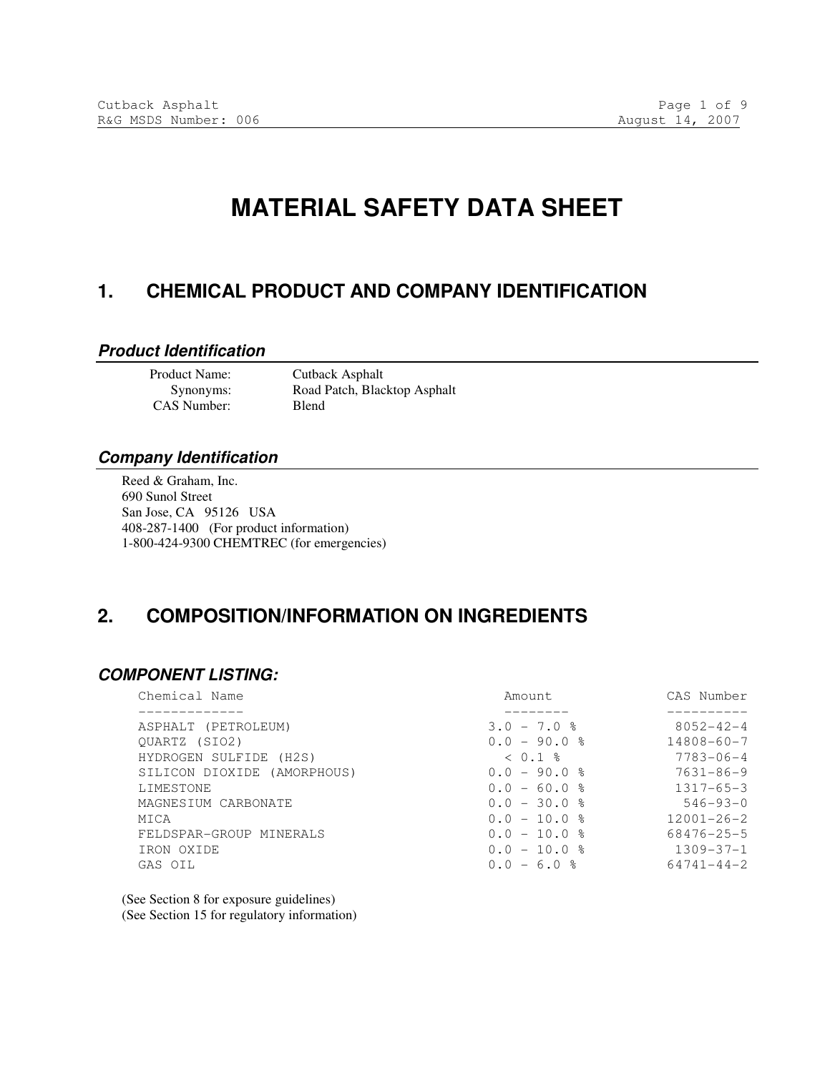# **MATERIAL SAFETY DATA SHEET**

### **1. CHEMICAL PRODUCT AND COMPANY IDENTIFICATION**

#### **Product Identification**

CAS Number: Blend

 Product Name: Cutback Asphalt Synonyms: Road Patch, Blacktop Asphalt

#### **Company Identification**

Reed & Graham, Inc. 690 Sunol Street San Jose, CA 95126 USA 408-287-1400 (For product information) 1-800-424-9300 CHEMTREC (for emergencies)

### **2. COMPOSITION/INFORMATION ON INGREDIENTS**

#### **COMPONENT LISTING:**

| Chemical Name               | Amount.           | CAS Number       |
|-----------------------------|-------------------|------------------|
|                             |                   |                  |
| ASPHALT (PETROLEUM)         | $3.0 - 7.0$ %     | $8052 - 42 - 4$  |
| OUARTZ (SIO2)               | $0.0 - 90.0$ %    | $14808 - 60 - 7$ |
| HYDROGEN SULFIDE (H2S)      | $< 0.1$ $\approx$ | $7783 - 06 - 4$  |
| SILICON DIOXIDE (AMORPHOUS) | $0.0 - 90.0$ %    | $7631 - 86 - 9$  |
| LIMESTONE                   | $0.0 - 60.0$ %    | $1317 - 65 - 3$  |
| MAGNESIUM CARBONATE         | $0.0 - 30.0$ %    | $546 - 93 - 0$   |
| MICA                        | $0.0 - 10.0$ %    | $12001 - 26 - 2$ |
| FELDSPAR-GROUP MINERALS     | $0.0 - 10.0$ %    | 68476-25-5       |
| IRON OXIDE                  | $0.0 - 10.0$ %    | $1309 - 37 - 1$  |
| GAS OIL                     | $0.0 - 6.0$ %     | $64741 - 44 - 2$ |
|                             |                   |                  |

(See Section 8 for exposure guidelines) (See Section 15 for regulatory information)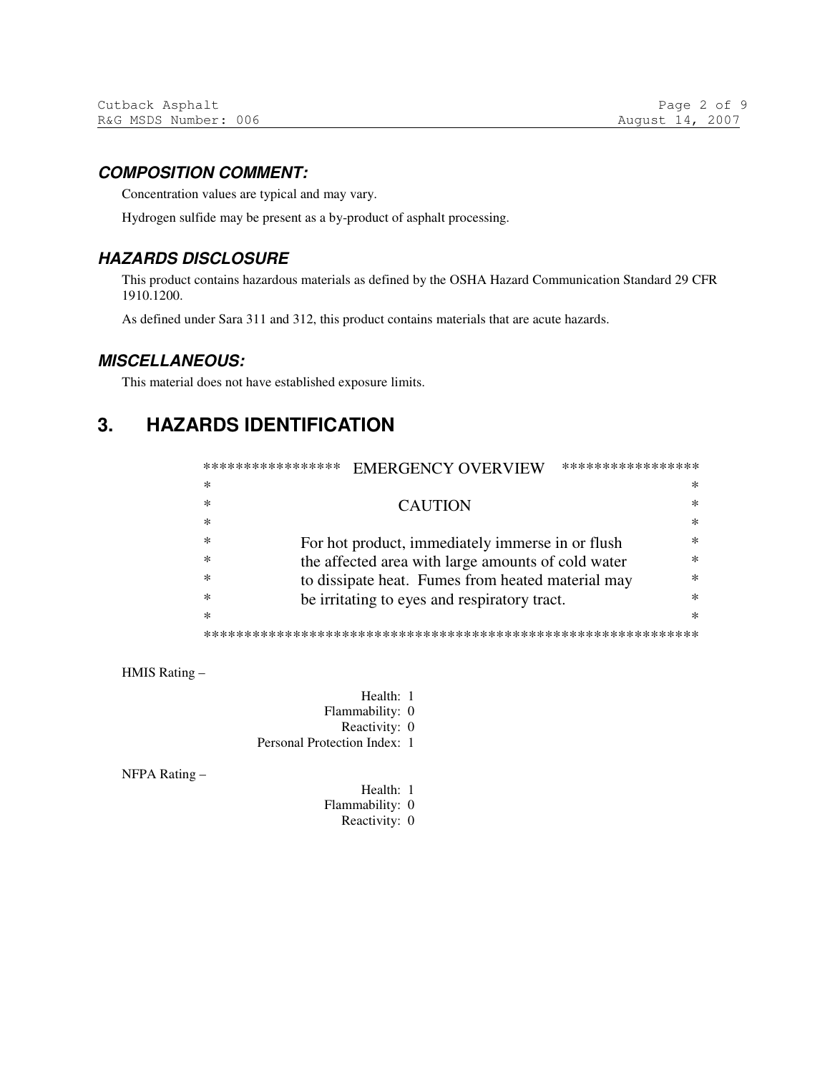#### **COMPOSITION COMMENT:**

Concentration values are typical and may vary.

Hydrogen sulfide may be present as a by-product of asphalt processing.

#### **HAZARDS DISCLOSURE**

This product contains hazardous materials as defined by the OSHA Hazard Communication Standard 29 CFR 1910.1200.

As defined under Sara 311 and 312, this product contains materials that are acute hazards.

#### **MISCELLANEOUS:**

This material does not have established exposure limits.

#### **HAZARDS IDENTIFICATION**  $3.$

| ***************** | <b>EMERGENCY OVERVIEW</b><br>*****************          |        |  |
|-------------------|---------------------------------------------------------|--------|--|
| ∗                 |                                                         | *      |  |
| $\ast$            | <b>CAUTION</b>                                          | ж      |  |
| $\ast$            |                                                         | $\ast$ |  |
| $\ast$            | ж<br>For hot product, immediately immerse in or flush   |        |  |
| $\ast$            | the affected area with large amounts of cold water<br>ж |        |  |
| ∗                 | to dissipate heat. Fumes from heated material may<br>ж  |        |  |
| ж                 | be irritating to eyes and respiratory tract.            | ж      |  |
| $\ast$            |                                                         | ж      |  |
|                   |                                                         |        |  |

HMIS Rating -

Health: 1 Flammability: 0 Reactivity: 0 Personal Protection Index: 1

NFPA Rating-

Health: 1 Flammability: 0 Reactivity: 0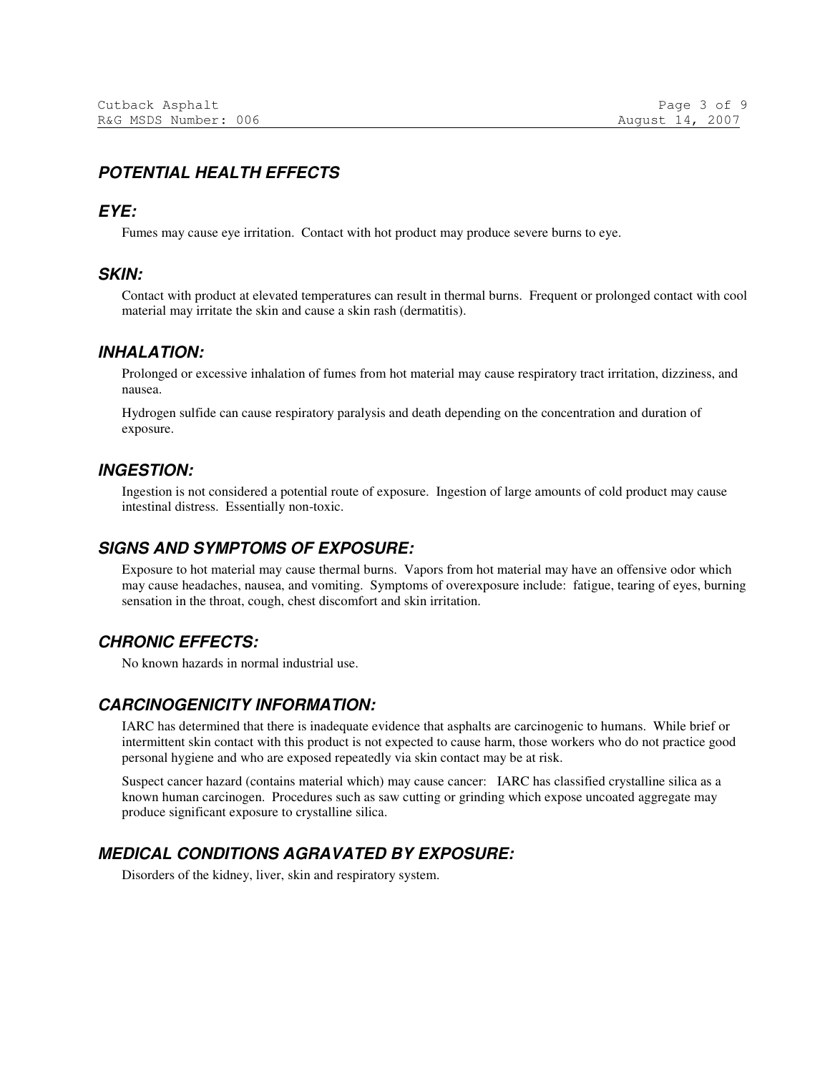### **POTENTIAL HEALTH EFFECTS**

#### **EYE:**

Fumes may cause eye irritation. Contact with hot product may produce severe burns to eye.

#### **SKIN:**

Contact with product at elevated temperatures can result in thermal burns. Frequent or prolonged contact with cool material may irritate the skin and cause a skin rash (dermatitis).

#### **INHALATION:**

Prolonged or excessive inhalation of fumes from hot material may cause respiratory tract irritation, dizziness, and nausea.

Hydrogen sulfide can cause respiratory paralysis and death depending on the concentration and duration of exposure.

#### **INGESTION:**

Ingestion is not considered a potential route of exposure. Ingestion of large amounts of cold product may cause intestinal distress. Essentially non-toxic.

#### **SIGNS AND SYMPTOMS OF EXPOSURE:**

Exposure to hot material may cause thermal burns. Vapors from hot material may have an offensive odor which may cause headaches, nausea, and vomiting. Symptoms of overexposure include: fatigue, tearing of eyes, burning sensation in the throat, cough, chest discomfort and skin irritation.

#### **CHRONIC EFFECTS:**

No known hazards in normal industrial use.

#### **CARCINOGENICITY INFORMATION:**

IARC has determined that there is inadequate evidence that asphalts are carcinogenic to humans. While brief or intermittent skin contact with this product is not expected to cause harm, those workers who do not practice good personal hygiene and who are exposed repeatedly via skin contact may be at risk.

Suspect cancer hazard (contains material which) may cause cancer: IARC has classified crystalline silica as a known human carcinogen. Procedures such as saw cutting or grinding which expose uncoated aggregate may produce significant exposure to crystalline silica.

#### **MEDICAL CONDITIONS AGRAVATED BY EXPOSURE:**

Disorders of the kidney, liver, skin and respiratory system.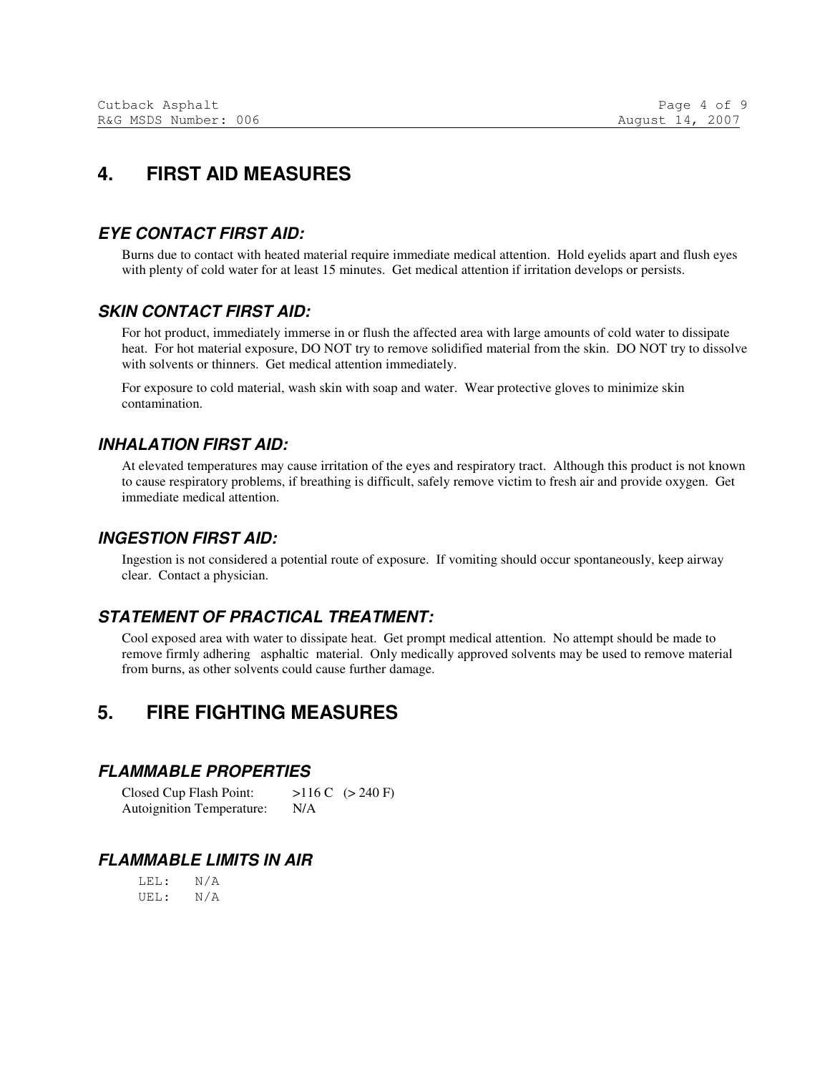## **4. FIRST AID MEASURES**

#### **EYE CONTACT FIRST AID:**

Burns due to contact with heated material require immediate medical attention. Hold eyelids apart and flush eyes with plenty of cold water for at least 15 minutes. Get medical attention if irritation develops or persists.

#### **SKIN CONTACT FIRST AID:**

For hot product, immediately immerse in or flush the affected area with large amounts of cold water to dissipate heat. For hot material exposure, DO NOT try to remove solidified material from the skin. DO NOT try to dissolve with solvents or thinners. Get medical attention immediately.

For exposure to cold material, wash skin with soap and water. Wear protective gloves to minimize skin contamination.

#### **INHALATION FIRST AID:**

At elevated temperatures may cause irritation of the eyes and respiratory tract. Although this product is not known to cause respiratory problems, if breathing is difficult, safely remove victim to fresh air and provide oxygen. Get immediate medical attention.

#### **INGESTION FIRST AID:**

Ingestion is not considered a potential route of exposure. If vomiting should occur spontaneously, keep airway clear. Contact a physician.

### **STATEMENT OF PRACTICAL TREATMENT:**

Cool exposed area with water to dissipate heat. Get prompt medical attention. No attempt should be made to remove firmly adhering asphaltic material. Only medically approved solvents may be used to remove material from burns, as other solvents could cause further damage.

### **5. FIRE FIGHTING MEASURES**

#### **FLAMMABLE PROPERTIES**

Closed Cup Flash Point:  $>116$  C  $(>240$  F) Autoignition Temperature: N/A

#### **FLAMMABLE LIMITS IN AIR**

 LEL: N/A UEL: N/A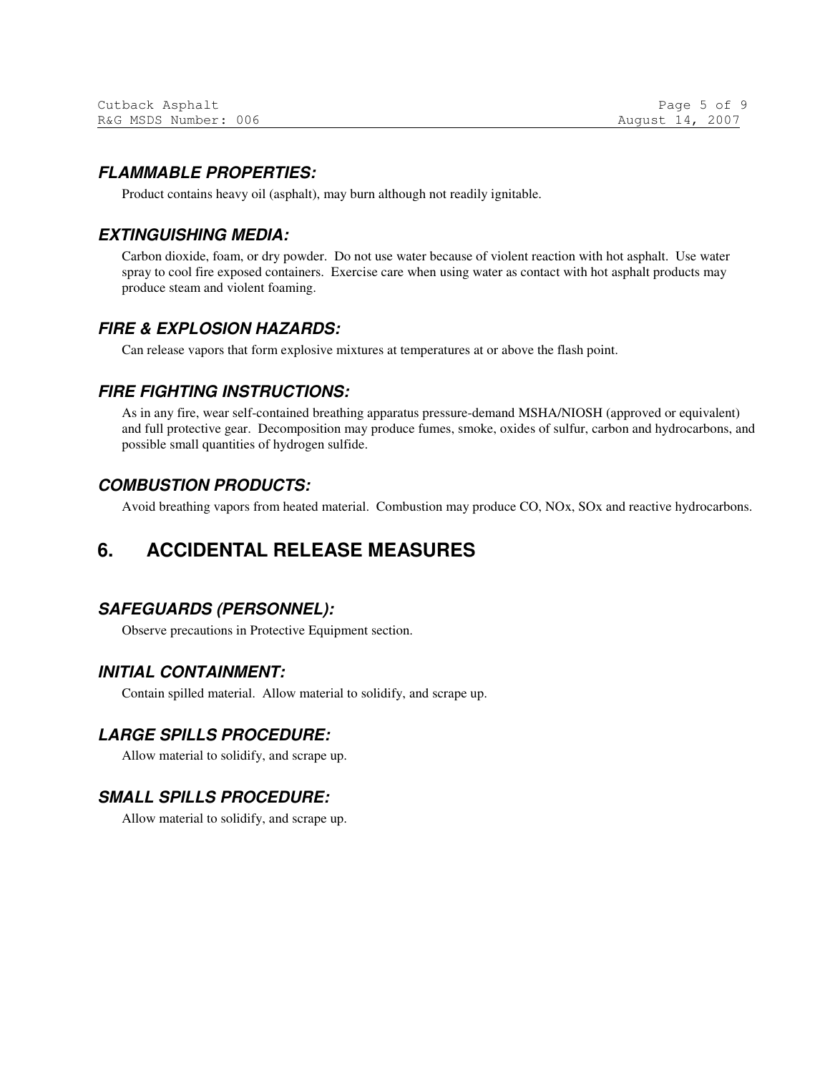#### **FLAMMABLE PROPERTIES:**

Product contains heavy oil (asphalt), may burn although not readily ignitable.

#### **EXTINGUISHING MEDIA:**

Carbon dioxide, foam, or dry powder. Do not use water because of violent reaction with hot asphalt. Use water spray to cool fire exposed containers. Exercise care when using water as contact with hot asphalt products may produce steam and violent foaming.

#### **FIRE & EXPLOSION HAZARDS:**

Can release vapors that form explosive mixtures at temperatures at or above the flash point.

#### **FIRE FIGHTING INSTRUCTIONS:**

As in any fire, wear self-contained breathing apparatus pressure-demand MSHA/NIOSH (approved or equivalent) and full protective gear. Decomposition may produce fumes, smoke, oxides of sulfur, carbon and hydrocarbons, and possible small quantities of hydrogen sulfide.

#### **COMBUSTION PRODUCTS:**

Avoid breathing vapors from heated material. Combustion may produce CO, NOx, SOx and reactive hydrocarbons.

### **6. ACCIDENTAL RELEASE MEASURES**

### **SAFEGUARDS (PERSONNEL):**

Observe precautions in Protective Equipment section.

#### **INITIAL CONTAINMENT:**

Contain spilled material. Allow material to solidify, and scrape up.

#### **LARGE SPILLS PROCEDURE:**

Allow material to solidify, and scrape up.

### **SMALL SPILLS PROCEDURE:**

Allow material to solidify, and scrape up.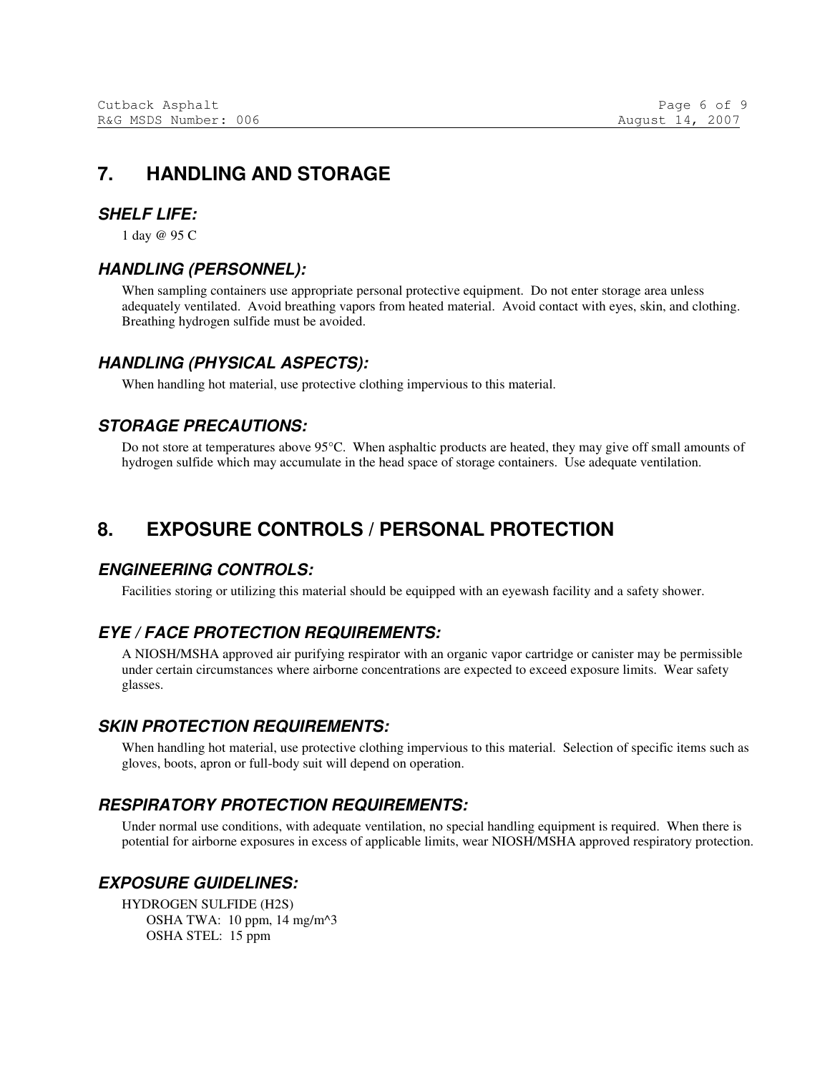### **7. HANDLING AND STORAGE**

#### **SHELF LIFE:**

1 day @ 95 C

#### **HANDLING (PERSONNEL):**

When sampling containers use appropriate personal protective equipment. Do not enter storage area unless adequately ventilated. Avoid breathing vapors from heated material. Avoid contact with eyes, skin, and clothing. Breathing hydrogen sulfide must be avoided.

#### **HANDLING (PHYSICAL ASPECTS):**

When handling hot material, use protective clothing impervious to this material.

#### **STORAGE PRECAUTIONS:**

Do not store at temperatures above 95°C. When asphaltic products are heated, they may give off small amounts of hydrogen sulfide which may accumulate in the head space of storage containers. Use adequate ventilation.

### **8. EXPOSURE CONTROLS / PERSONAL PROTECTION**

#### **ENGINEERING CONTROLS:**

Facilities storing or utilizing this material should be equipped with an eyewash facility and a safety shower.

#### **EYE / FACE PROTECTION REQUIREMENTS:**

A NIOSH/MSHA approved air purifying respirator with an organic vapor cartridge or canister may be permissible under certain circumstances where airborne concentrations are expected to exceed exposure limits. Wear safety glasses.

#### **SKIN PROTECTION REQUIREMENTS:**

When handling hot material, use protective clothing impervious to this material. Selection of specific items such as gloves, boots, apron or full-body suit will depend on operation.

#### **RESPIRATORY PROTECTION REQUIREMENTS:**

Under normal use conditions, with adequate ventilation, no special handling equipment is required. When there is potential for airborne exposures in excess of applicable limits, wear NIOSH/MSHA approved respiratory protection.

#### **EXPOSURE GUIDELINES:**

HYDROGEN SULFIDE (H2S) OSHA TWA: 10 ppm, 14 mg/m^3 OSHA STEL: 15 ppm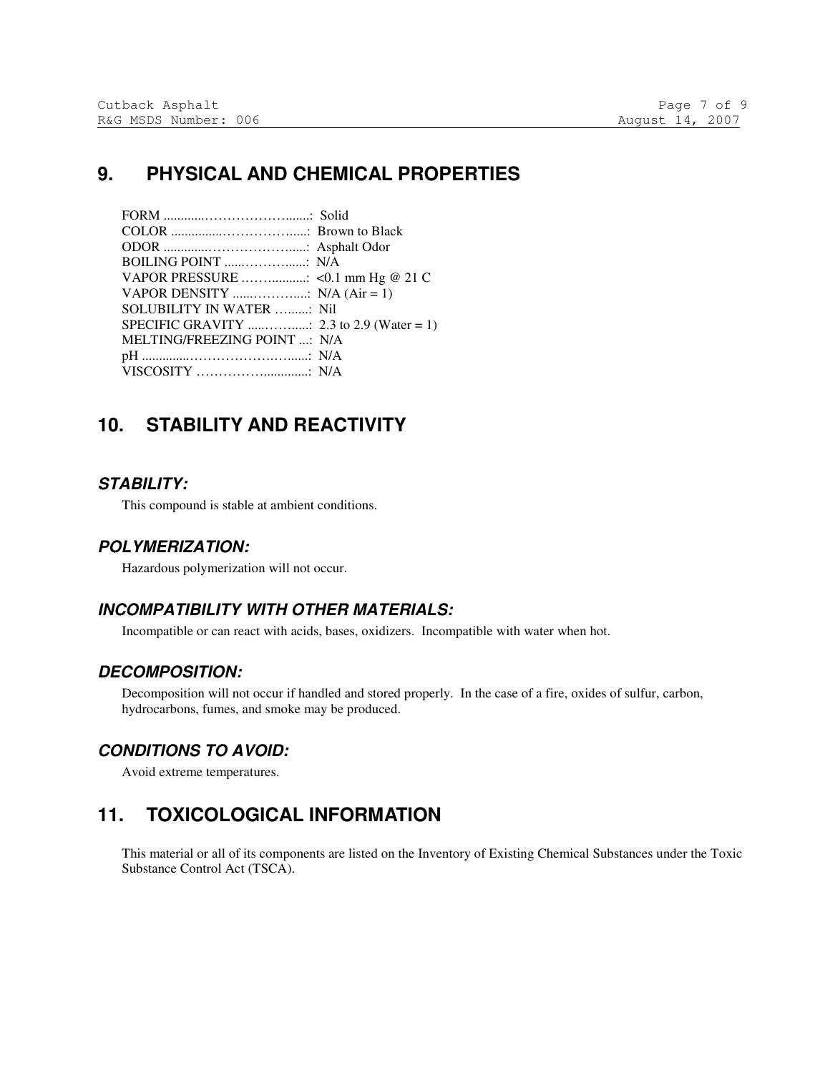### **9. PHYSICAL AND CHEMICAL PROPERTIES**

| SOLUBILITY IN WATER : Nil    |  |
|------------------------------|--|
|                              |  |
| MELTING/FREEZING POINT : N/A |  |
|                              |  |
|                              |  |

### **10. STABILITY AND REACTIVITY**

#### **STABILITY:**

This compound is stable at ambient conditions.

#### **POLYMERIZATION:**

Hazardous polymerization will not occur.

### **INCOMPATIBILITY WITH OTHER MATERIALS:**

Incompatible or can react with acids, bases, oxidizers. Incompatible with water when hot.

#### **DECOMPOSITION:**

Decomposition will not occur if handled and stored properly. In the case of a fire, oxides of sulfur, carbon, hydrocarbons, fumes, and smoke may be produced.

#### **CONDITIONS TO AVOID:**

Avoid extreme temperatures.

## **11. TOXICOLOGICAL INFORMATION**

This material or all of its components are listed on the Inventory of Existing Chemical Substances under the Toxic Substance Control Act (TSCA).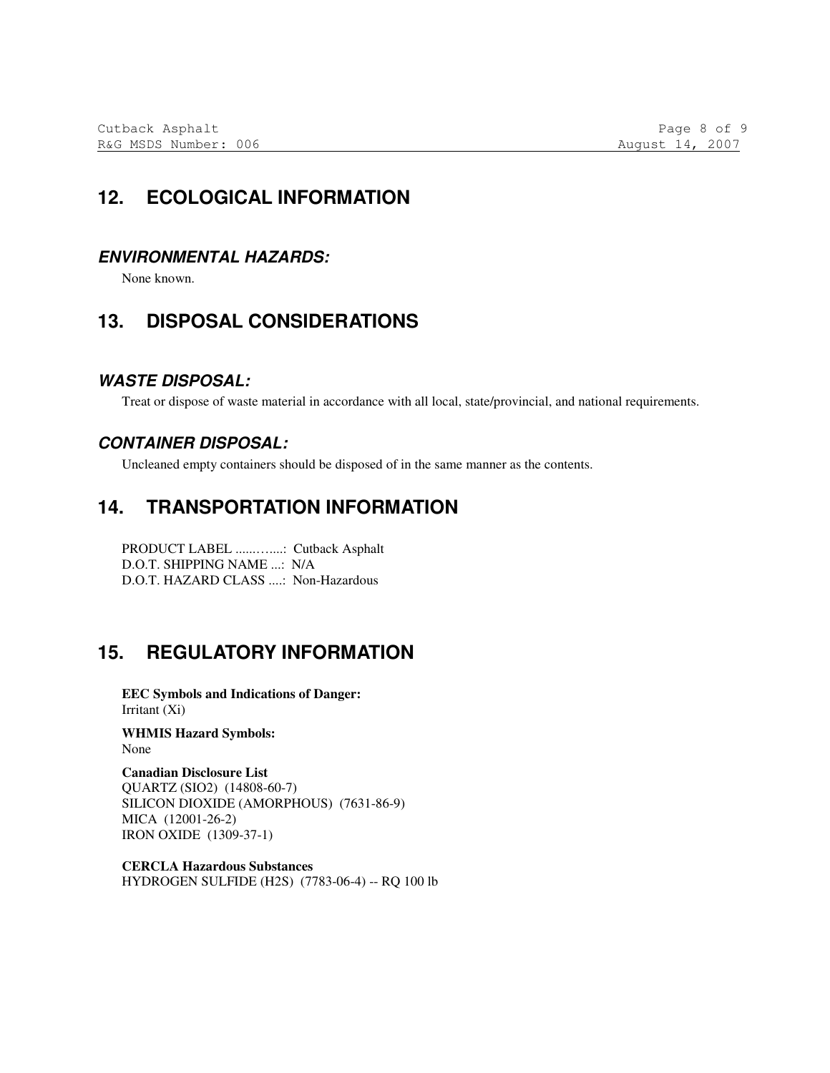### **12. ECOLOGICAL INFORMATION**

#### **ENVIRONMENTAL HAZARDS:**

None known.

### **13. DISPOSAL CONSIDERATIONS**

#### **WASTE DISPOSAL:**

Treat or dispose of waste material in accordance with all local, state/provincial, and national requirements.

#### **CONTAINER DISPOSAL:**

Uncleaned empty containers should be disposed of in the same manner as the contents.

### **14. TRANSPORTATION INFORMATION**

PRODUCT LABEL ......…....: Cutback Asphalt D.O.T. SHIPPING NAME ...: N/A D.O.T. HAZARD CLASS ....: Non-Hazardous

## **15. REGULATORY INFORMATION**

**EEC Symbols and Indications of Danger:**  Irritant (Xi)

**WHMIS Hazard Symbols:**  None

**Canadian Disclosure List**  QUARTZ (SIO2) (14808-60-7) SILICON DIOXIDE (AMORPHOUS) (7631-86-9) MICA (12001-26-2) IRON OXIDE (1309-37-1)

**CERCLA Hazardous Substances**  HYDROGEN SULFIDE (H2S) (7783-06-4) -- RQ 100 lb